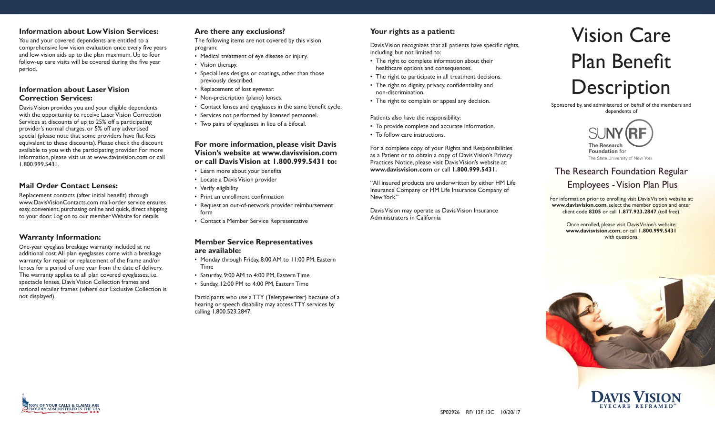## **Information about Low Vision Services:**

You and your covered dependents are entitled to a comprehensive low vision evaluation once every five years and low vision aids up to the plan maximum. Up to four follow-up care visits will be covered during the five year period.

### **Information about Laser Vision Correction Services:**

Davis Vision provides you and your eligible dependents with the opportunity to receive Laser Vision Correction Services at discounts of up to 25% off a participating provider's normal charges, or 5% off any advertised special (please note that some providers have flat fees equivalent to these discounts). Please check the discount available to you with the participating provider. For more information, please visit us at www.davisvision.com or call 1.800.999.5431.

## **Mail Order Contact Lenses:**

Replacement contacts (after initial benefit) through www.DavisVisionContacts.com mail-order service ensures easy, convenient, purchasing online and quick, direct shipping to your door. Log on to our member Website for details.

## **Warranty Information:**

One-year eyeglass breakage warranty included at no additional cost.All plan eyeglasses come with a breakage warranty for repair or replacement of the frame and/or lenses for a period of one year from the date of delivery. The warranty applies to all plan covered eyeglasses, i.e. spectacle lenses, Davis Vision Collection frames and national retailer frames (where our Exclusive Collection is not displayed).

## **Are there any exclusions?**

The following items are not covered by this vision program:

- Medical treatment of eye disease or injury.
- Vision therapy.
- Special lens designs or coatings, other than those previously described.
- Replacement of lost eyewear.
- Non-prescription (plano) lenses.
- Contact lenses and eyeglasses in the same benefit cycle.
- Services not performed by licensed personnel.
- Two pairs of eyeglasses in lieu of a bifocal.

#### **For more information, please visit Davis Vision's website at www.davisvision.com or call Davis Vision at 1.800.999.5431 to:**

- • Learn more about your benefits
- Locate a Davis Vision provider
- Verify eligibility
- • Print an enrollment confirmation
- Request an out-of-network provider reimbursement form
- Contact a Member Service Representative

#### **Member Service Representatives are available:**

- Monday through Friday, 8:00 AM to 11:00 PM, Eastern Time
- Saturday, 9:00 AM to 4:00 PM, Eastern Time
- Sunday, 12:00 PM to 4:00 PM, Eastern Time

Participants who use a TTY (Teletypewriter) because of a hearing or speech disability may access TTY services by calling 1.800.523.2847.

# **Your rights as a patient:**

Davis Vision recognizes that all patients have specific rights, including, but not limited to:

- The right to complete information about their healthcare options and consequences.
- The right to participate in all treatment decisions.
- The right to dignity, privacy, confidentiality and non-discrimination.
- The right to complain or appeal any decision.

#### Patients also have the responsibility:

- To provide complete and accurate information.
- To follow care instructions.

For a complete copy of your Rights and Responsibilities as a Patient or to obtain a copy of Davis Vision's Privacy Practices Notice, please visit Davis Vision's website at: **www.davisvision.com** or call **1.800.999.5431.** 

"All insured products are underwritten by either HM Life Insurance Company or HM Life Insurance Company of New York."

Davis Vision may operate as Davis Vision Insurance Administrators in California



Sponsored by, and administered on behalf of the members and dependents of



The Research Foundation Regular Employees - Vision Plan Plus

For information prior to enrolling visit Davis Vision's website at: **www.davisvision.com**, select the member option and enter client code **8205** or call **1.877.923.2847** (toll free).

> **www.davisvision.com**, or call **1.800.999.5431** Once enrolled, please visit Davis Vision's website: with questions.